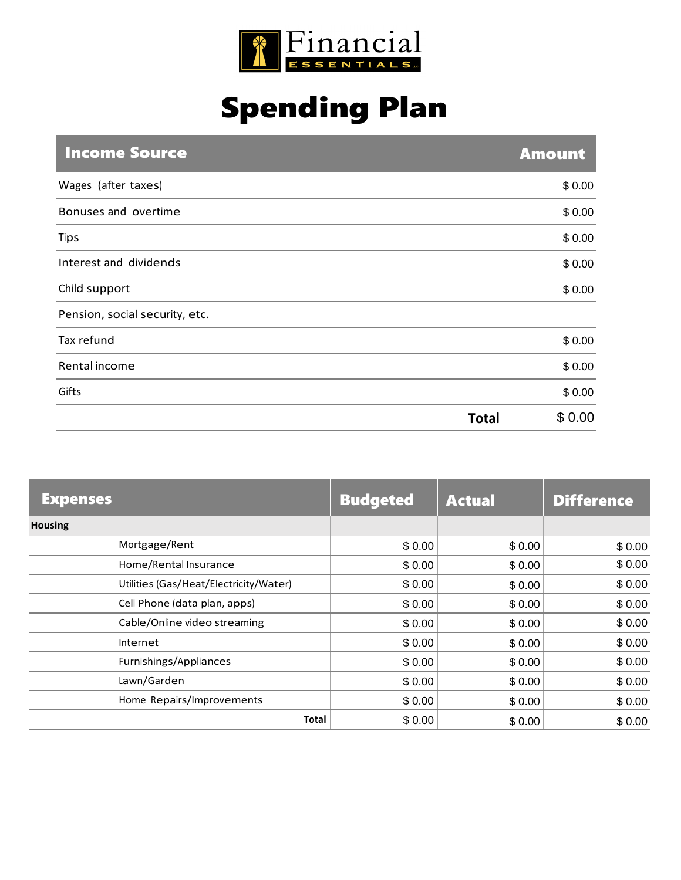

## Spending Plan

| <b>Income Source</b>           | <b>Amount</b> |
|--------------------------------|---------------|
| Wages (after taxes)            | \$0.00        |
| Bonuses and overtime           | \$0.00        |
| <b>Tips</b>                    | \$0.00        |
| Interest and dividends         | \$0.00        |
| Child support                  | \$0.00        |
| Pension, social security, etc. |               |
| Tax refund                     | \$0.00        |
| Rental income                  | \$0.00        |
| Gifts                          | \$0.00        |
| <b>Total</b>                   | \$0.00        |

| <b>Expenses</b>                        | <b>Budgeted</b> | <b>Actual</b> | <b>Difference</b> |
|----------------------------------------|-----------------|---------------|-------------------|
| <b>Housing</b>                         |                 |               |                   |
| Mortgage/Rent                          | \$0.00          | \$0.00        | \$0.00            |
| Home/Rental Insurance                  | \$0.00          | \$0.00        | \$0.00            |
| Utilities (Gas/Heat/Electricity/Water) | \$0.00          | \$0.00        | \$0.00            |
| Cell Phone (data plan, apps)           | \$0.00          | \$0.00        | \$0.00            |
| Cable/Online video streaming           | \$0.00          | \$0.00        | \$0.00            |
| Internet                               | \$0.00          | \$0.00        | \$0.00            |
| Furnishings/Appliances                 | \$0.00          | \$0.00        | \$0.00            |
| Lawn/Garden                            | \$0.00          | \$0.00        | \$0.00            |
| Home Repairs/Improvements              | \$0.00          | \$0.00        | \$0.00            |
| <b>Total</b>                           | \$0.00          | \$0.00        | \$0.00            |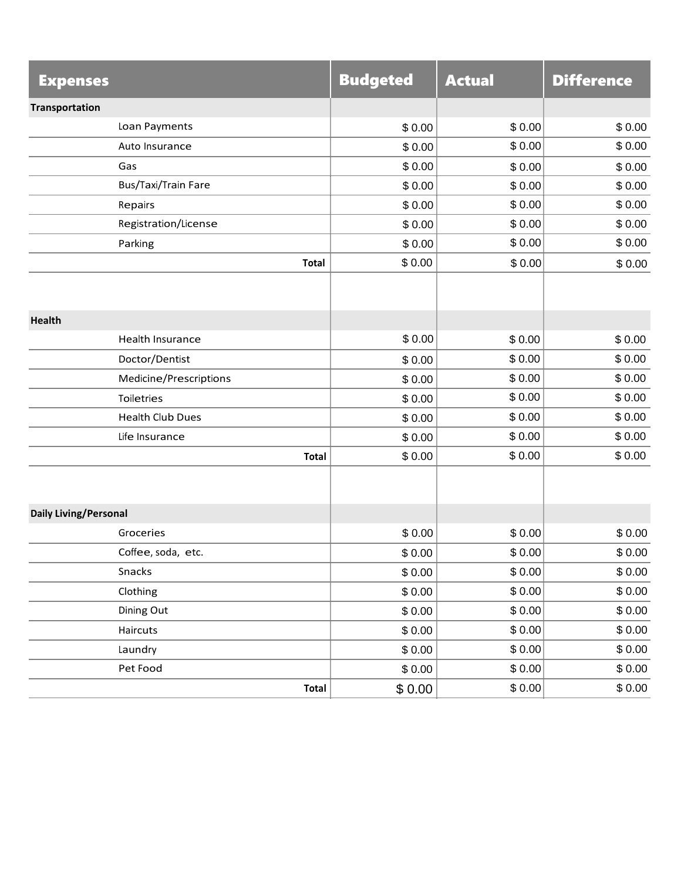| <b>Expenses</b>              | <b>Budgeted</b> | <b>Actual</b> | <b>Difference</b> |
|------------------------------|-----------------|---------------|-------------------|
| <b>Transportation</b>        |                 |               |                   |
| Loan Payments                | \$0.00          | \$0.00        | \$0.00            |
| Auto Insurance               | \$0.00          | \$0.00        | \$0.00            |
| Gas                          | \$0.00          | \$0.00        | \$0.00            |
| Bus/Taxi/Train Fare          | \$0.00          | \$0.00        | \$0.00            |
| Repairs                      | \$0.00          | \$0.00        | \$0.00            |
| Registration/License         | \$0.00          | \$0.00        | \$0.00            |
| Parking                      | \$0.00          | \$0.00        | \$0.00            |
| <b>Total</b>                 | \$0.00          | \$0.00        | \$0.00            |
|                              |                 |               |                   |
| <b>Health</b>                |                 |               |                   |
| Health Insurance             | \$0.00          | \$0.00        | \$0.00            |
| Doctor/Dentist               | \$0.00          | \$0.00        | \$0.00            |
| Medicine/Prescriptions       | \$0.00          | \$0.00        | \$0.00            |
| Toiletries                   | \$0.00          | \$0.00        | \$0.00            |
| <b>Health Club Dues</b>      | \$0.00          | \$0.00        | \$0.00            |
| Life Insurance               | \$0.00          | \$0.00        | \$0.00            |
| <b>Total</b>                 | \$0.00          | \$0.00        | \$0.00            |
|                              |                 |               |                   |
| <b>Daily Living/Personal</b> |                 |               |                   |
| Groceries                    | \$0.00          | \$0.00        | \$0.00            |
| Coffee, soda, etc.           | \$0.00          | \$0.00        | \$0.00            |
| Snacks                       | \$0.00          | \$0.00        | \$0.00            |
| Clothing                     | \$0.00          | \$0.00        | \$0.00            |
| Dining Out                   | \$0.00          | \$0.00        | \$0.00            |
| Haircuts                     | \$0.00          | \$0.00        | \$0.00            |
| Laundry                      | \$0.00          | \$0.00        | \$0.00            |
| Pet Food                     | \$0.00          | \$0.00        | \$0.00            |
| <b>Total</b>                 | \$0.00          | \$0.00        | \$0.00            |